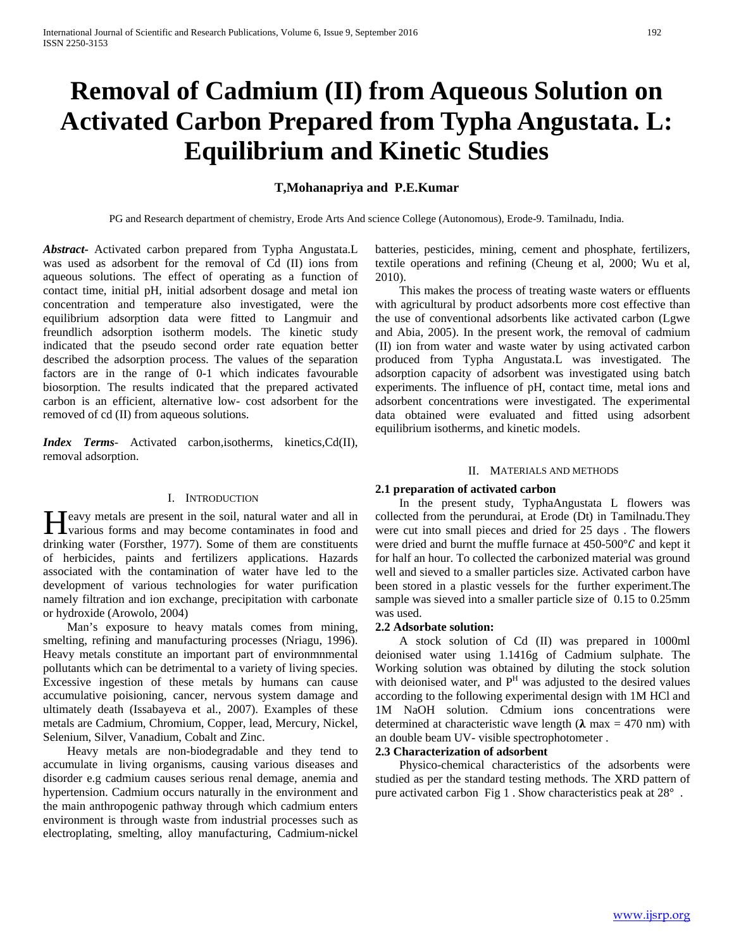# **Removal of Cadmium (II) from Aqueous Solution on Activated Carbon Prepared from Typha Angustata. L: Equilibrium and Kinetic Studies**

## **T,Mohanapriya and P.E.Kumar**

PG and Research department of chemistry, Erode Arts And science College (Autonomous), Erode-9. Tamilnadu, India.

*Abstract***-** Activated carbon prepared from Typha Angustata.L was used as adsorbent for the removal of Cd (II) ions from aqueous solutions. The effect of operating as a function of contact time, initial pH, initial adsorbent dosage and metal ion concentration and temperature also investigated, were the equilibrium adsorption data were fitted to Langmuir and freundlich adsorption isotherm models. The kinetic study indicated that the pseudo second order rate equation better described the adsorption process. The values of the separation factors are in the range of 0-1 which indicates favourable biosorption. The results indicated that the prepared activated carbon is an efficient, alternative low- cost adsorbent for the removed of cd (II) from aqueous solutions.

*Index Terms*- Activated carbon,isotherms, kinetics,Cd(II), removal adsorption.

#### I. INTRODUCTION

**T**eavy metals are present in the soil, natural water and all in **H**eavy metals are present in the soil, natural water and all in various forms and may become contaminates in food and drinking water (Forsther, 1977). Some of them are constituents of herbicides, paints and fertilizers applications. Hazards associated with the contamination of water have led to the development of various technologies for water purification namely filtration and ion exchange, precipitation with carbonate or hydroxide (Arowolo, 2004)

 Man's exposure to heavy matals comes from mining, smelting, refining and manufacturing processes (Nriagu, 1996). Heavy metals constitute an important part of environmnmental pollutants which can be detrimental to a variety of living species. Excessive ingestion of these metals by humans can cause accumulative poisioning, cancer, nervous system damage and ultimately death (Issabayeva et al., 2007). Examples of these metals are Cadmium, Chromium, Copper, lead, Mercury, Nickel, Selenium, Silver, Vanadium, Cobalt and Zinc.

 Heavy metals are non-biodegradable and they tend to accumulate in living organisms, causing various diseases and disorder e.g cadmium causes serious renal demage, anemia and hypertension. Cadmium occurs naturally in the environment and the main anthropogenic pathway through which cadmium enters environment is through waste from industrial processes such as electroplating, smelting, alloy manufacturing, Cadmium-nickel batteries, pesticides, mining, cement and phosphate, fertilizers, textile operations and refining (Cheung et al, 2000; Wu et al, 2010).

 This makes the process of treating waste waters or effluents with agricultural by product adsorbents more cost effective than the use of conventional adsorbents like activated carbon (Lgwe and Abia, 2005). In the present work, the removal of cadmium (II) ion from water and waste water by using activated carbon produced from Typha Angustata.L was investigated. The adsorption capacity of adsorbent was investigated using batch experiments. The influence of pH, contact time, metal ions and adsorbent concentrations were investigated. The experimental data obtained were evaluated and fitted using adsorbent equilibrium isotherms, and kinetic models.

#### II. MATERIALS AND METHODS

### **2.1 preparation of activated carbon**

 In the present study, TyphaAngustata L flowers was collected from the perundurai, at Erode (Dt) in Tamilnadu.They were cut into small pieces and dried for 25 days . The flowers were dried and burnt the muffle furnace at  $450-500^{\circ}C$  and kept it for half an hour. To collected the carbonized material was ground well and sieved to a smaller particles size. Activated carbon have been stored in a plastic vessels for the further experiment.The sample was sieved into a smaller particle size of 0.15 to 0.25mm was used.

#### **2.2 Adsorbate solution:**

 A stock solution of Cd (II) was prepared in 1000ml deionised water using 1.1416g of Cadmium sulphate. The Working solution was obtained by diluting the stock solution with deionised water, and  $P<sup>H</sup>$  was adjusted to the desired values according to the following experimental design with 1M HCl and 1M NaOH solution. Cdmium ions concentrations were determined at characteristic wave length ( $\lambda$  max = 470 nm) with an double beam UV- visible spectrophotometer .

## **2.3 Characterization of adsorbent**

 Physico-chemical characteristics of the adsorbents were studied as per the standard testing methods. The XRD pattern of pure activated carbon Fig 1 . Show characteristics peak at 28° .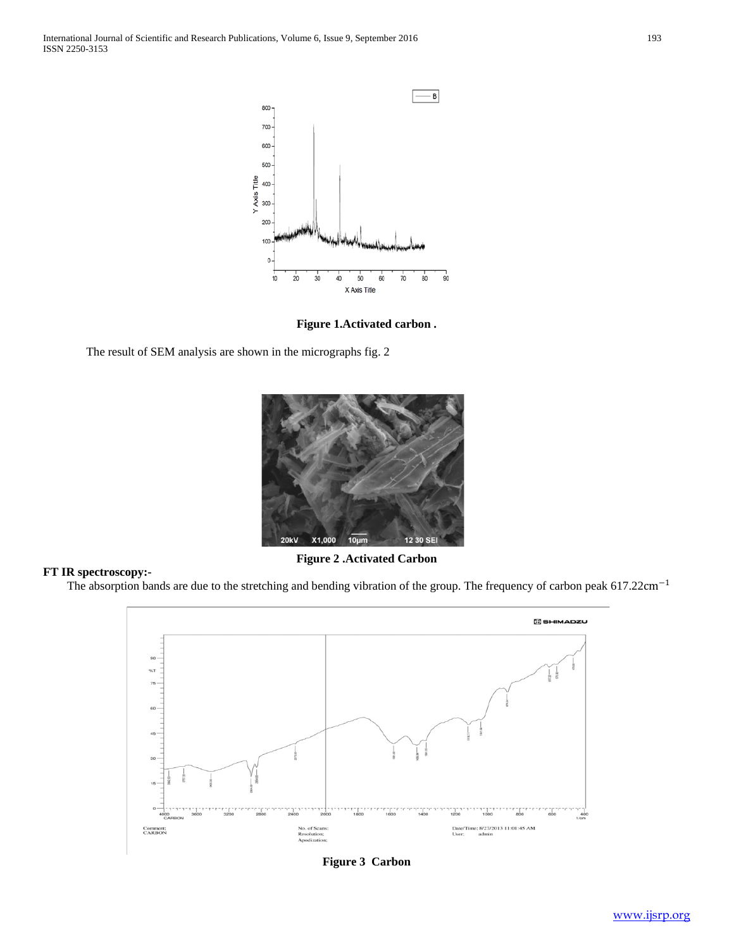

**Figure 1.Activated carbon .**

The result of SEM analysis are shown in the micrographs fig. 2

**FT IR spectroscopy:-**



**Figure 2 .Activated Carbon**

The absorption bands are due to the stretching and bending vibration of the group. The frequency of carbon peak 617.22cm−<sup>1</sup>



**Figure 3 Carbon**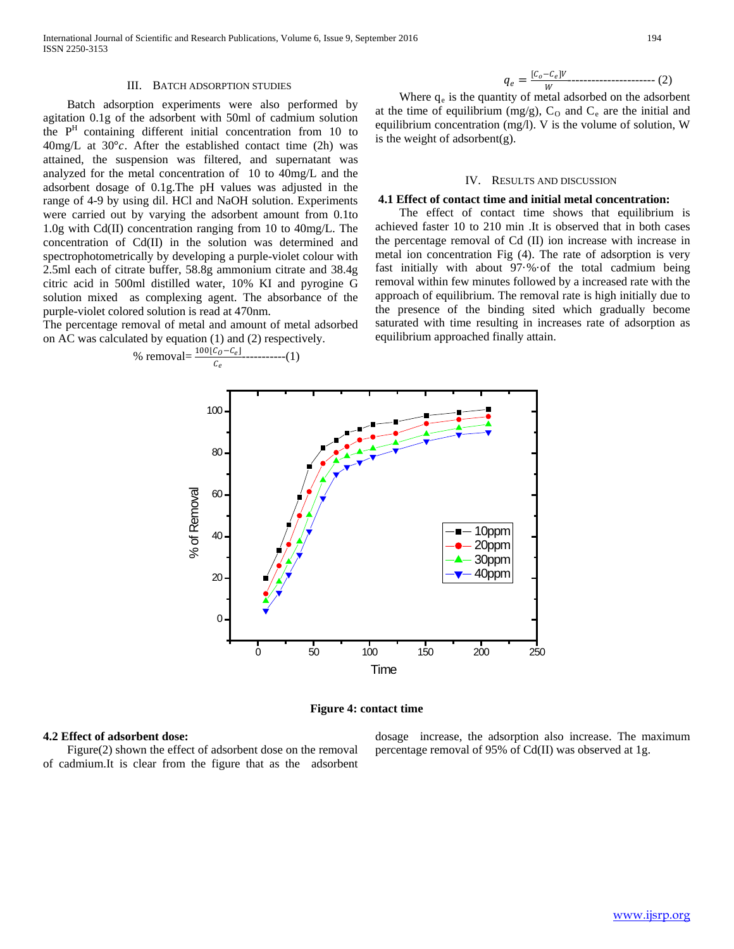#### III. BATCH ADSORPTION STUDIES

 Batch adsorption experiments were also performed by agitation 0.1g of the adsorbent with 50ml of cadmium solution the PH containing different initial concentration from 10 to  $40$ mg/L at  $30^{\circ}$ c. After the established contact time (2h) was attained, the suspension was filtered, and supernatant was analyzed for the metal concentration of 10 to 40mg/L and the adsorbent dosage of 0.1g.The pH values was adjusted in the range of 4-9 by using dil. HCl and NaOH solution. Experiments were carried out by varying the adsorbent amount from 0.1to 1.0g with Cd(II) concentration ranging from 10 to 40mg/L. The concentration of Cd(II) in the solution was determined and spectrophotometrically by developing a purple-violet colour with 2.5ml each of citrate buffer, 58.8g ammonium citrate and 38.4g citric acid in 500ml distilled water, 10% KI and pyrogine G solution mixed as complexing agent. The absorbance of the purple-violet colored solution is read at 470nm.

The percentage removal of metal and amount of metal adsorbed on AC was calculated by equation (1) and (2) respectively.



$$
q_e = \frac{[c_o - c_e]V}{W} \tag{2}
$$

## IV. RESULTS AND DISCUSSION

#### **4.1 Effect of contact time and initial metal concentration:**

 The effect of contact time shows that equilibrium is achieved faster 10 to 210 min .It is observed that in both cases the percentage removal of Cd (II) ion increase with increase in metal ion concentration Fig (4). The rate of adsorption is very fast initially with about 97·%·of the total cadmium being removal within few minutes followed by a increased rate with the approach of equilibrium. The removal rate is high initially due to the presence of the binding sited which gradually become saturated with time resulting in increases rate of adsorption as equilibrium approached finally attain.



## **Figure 4: contact time**

#### **4.2 Effect of adsorbent dose:**

 Figure(2) shown the effect of adsorbent dose on the removal of cadmium.It is clear from the figure that as the adsorbent dosage increase, the adsorption also increase. The maximum percentage removal of 95% of Cd(II) was observed at 1g.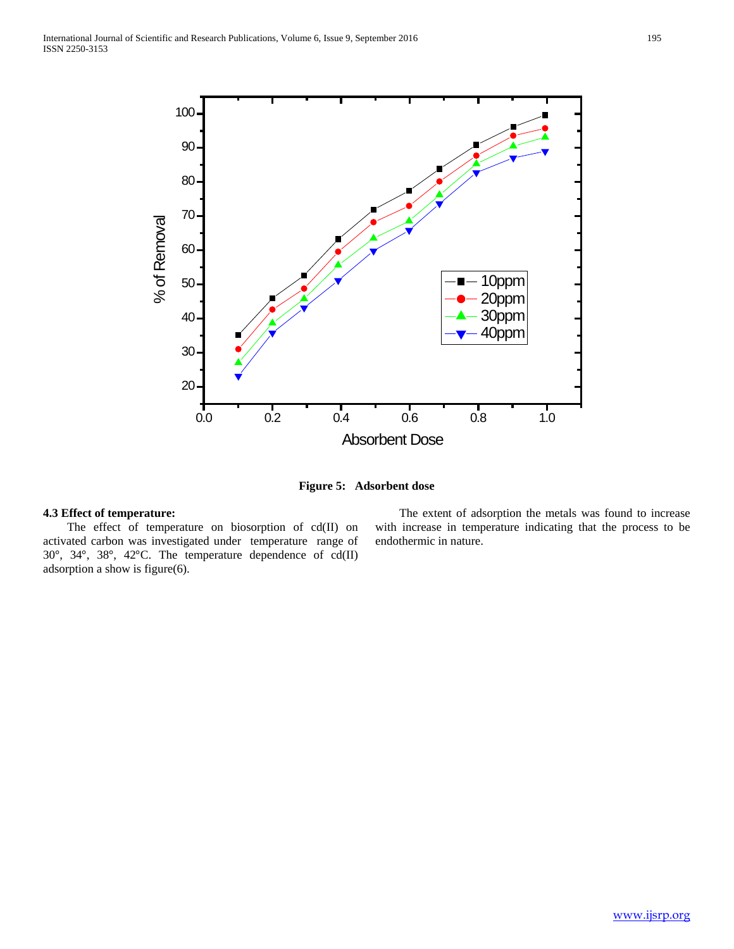

**Figure 5: Adsorbent dose**

# **4.3 Effect of temperature:**

The effect of temperature on biosorption of cd(II) on activated carbon was investigated under temperature range of 30°, 34°, 38°, 42°C. The temperature dependence of cd(II) adsorption a show is figure(6).

 The extent of adsorption the metals was found to increase with increase in temperature indicating that the process to be endothermic in nature.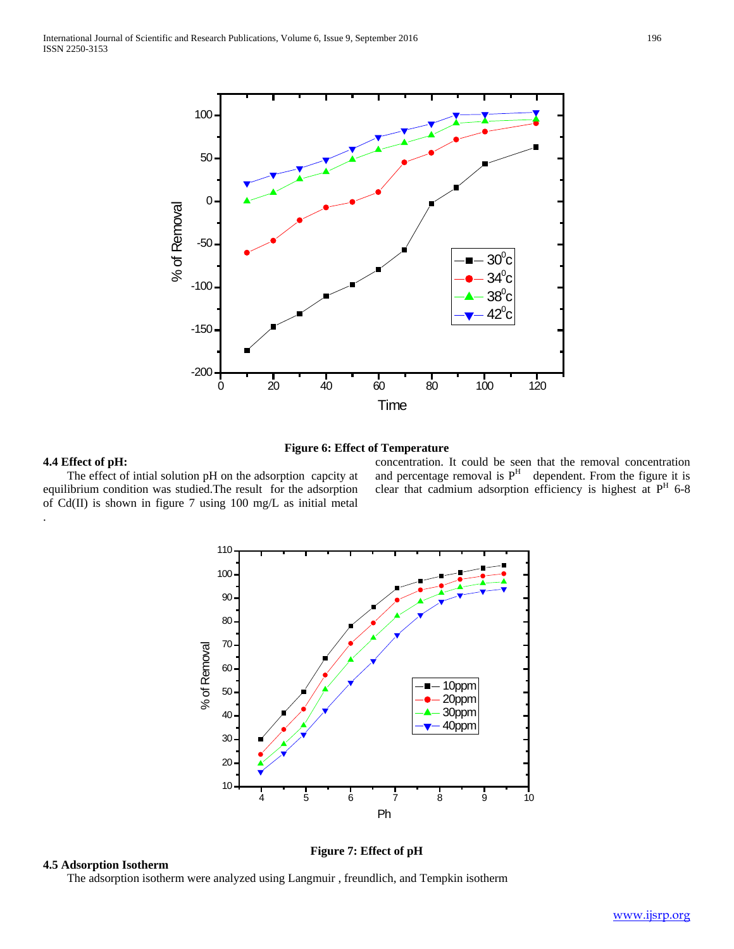

## **Figure 6: Effect of Temperature**

## **4.4 Effect of pH:**

.

 The effect of intial solution pH on the adsorption capcity at equilibrium condition was studied.The result for the adsorption of Cd(II) is shown in figure 7 using 100 mg/L as initial metal

concentration. It could be seen that the removal concentration and percentage removal is  $P<sup>H</sup>$  dependent. From the figure it is clear that cadmium adsorption efficiency is highest at P<sup>H</sup> 6-8



## **4.5 Adsorption Isotherm**

**Figure 7: Effect of pH**

The adsorption isotherm were analyzed using Langmuir , freundlich, and Tempkin isotherm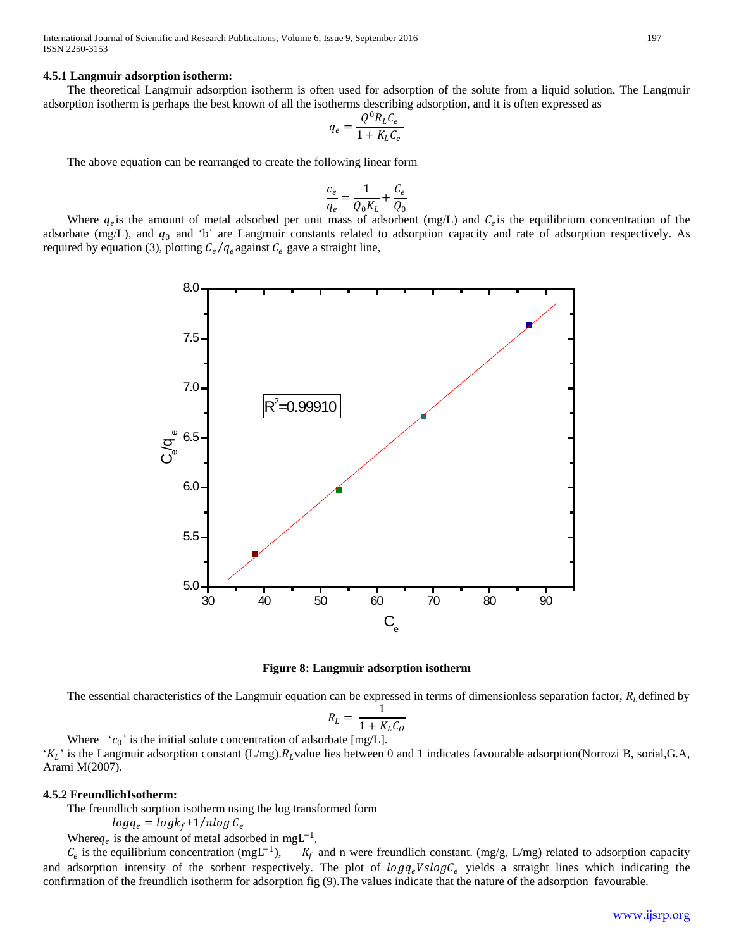International Journal of Scientific and Research Publications, Volume 6, Issue 9, September 2016 197 ISSN 2250-3153

#### **4.5.1 Langmuir adsorption isotherm:**

 The theoretical Langmuir adsorption isotherm is often used for adsorption of the solute from a liquid solution. The Langmuir adsorption isotherm is perhaps the best known of all the isotherms describing adsorption, and it is often expressed as

$$
q_e = \frac{Q^0 R_L C_e}{1 + K_L C_e}
$$

The above equation can be rearranged to create the following linear form

$$
\frac{c_e}{q_e} = \frac{1}{Q_0 K_L} + \frac{C_e}{Q_0}
$$

Where  $q_e$  is the amount of metal adsorbed per unit mass of adsorbent (mg/L) and  $C_e$  is the equilibrium concentration of the adsorbate (mg/L), and  $q_0$  and 'b' are Langmuir constants related to adsorption capacity and rate of adsorption respectively. As required by equation (3), plotting  $C_e/q_e$  against  $C_e$  gave a straight line,





The essential characteristics of the Langmuir equation can be expressed in terms of dimensionless separation factor,  $R_L$  defined by

$$
R_L = \frac{1}{1 + K_L C_0}
$$

Where  $(c_0)$  is the initial solute concentration of adsorbate [mg/L].  $K_L$  is the Langmuir adsorption constant (L/mg). $R_L$ value lies between 0 and 1 indicates favourable adsorption(Norrozi B, sorial,G.A, Arami M(2007).

## **4.5.2 FreundlichIsotherm:**

The freundlich sorption isotherm using the log transformed form

 $log q_e = log k_f + 1/nlog C_e$ 

Where  $q_e$  is the amount of metal adsorbed in mgL<sup>-1</sup>,<br> $C_e$  is the equilibrium concentration (mgL<sup>-1</sup>),  $K_f$ 

 $K_f$  and n were freundlich constant. (mg/g, L/mg) related to adsorption capacity and adsorption intensity of the sorbent respectively. The plot of  $logq_e$  vields a straight lines which indicating the confirmation of the freundlich isotherm for adsorption fig (9).The values indicate that the nature of the adsorption favourable.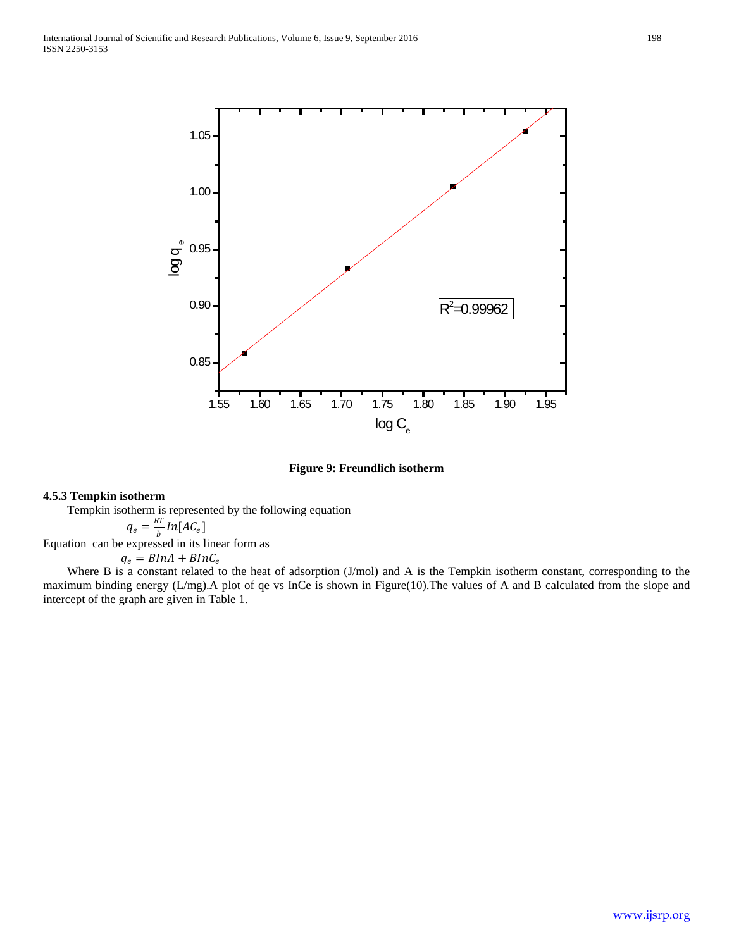

**Figure 9: Freundlich isotherm**

## **4.5.3 Tempkin isotherm**

Tempkin isotherm is represented by the following equation

$$
q_e = \frac{RT}{b} \ln[AC_e]
$$

Equation can be expressed in its linear form as

 $q_e = BInA + BInC_e$ 

Where B is a constant related to the heat of adsorption (J/mol) and A is the Tempkin isotherm constant, corresponding to the maximum binding energy (L/mg).A plot of qe vs InCe is shown in Figure(10).The values of A and B calculated from the slope and intercept of the graph are given in Table 1.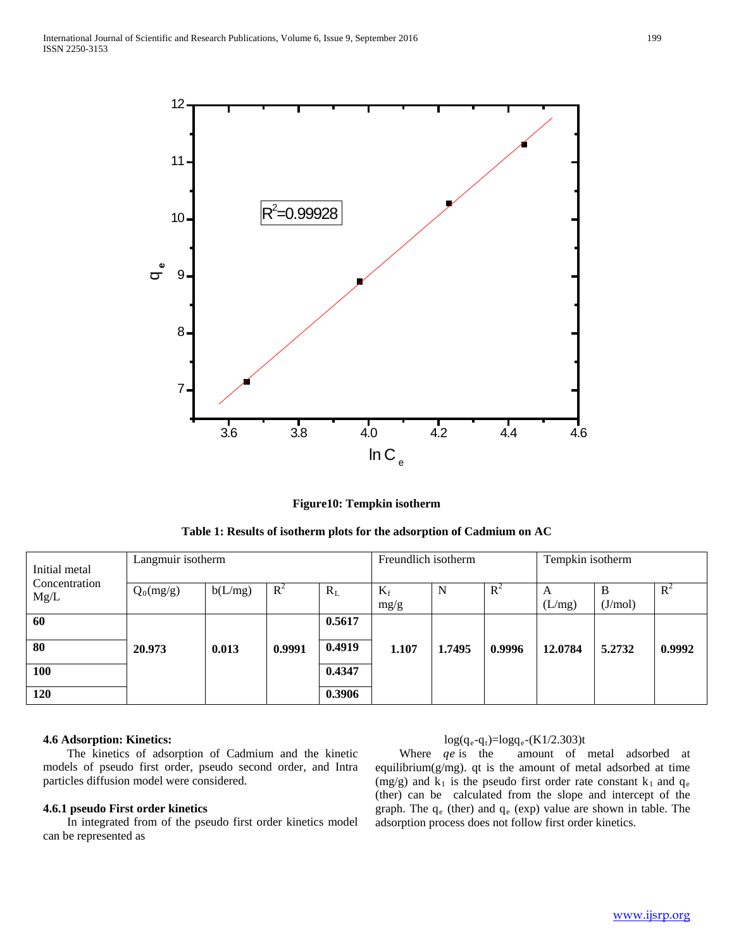

**Figure10: Tempkin isotherm**

| Initial metal<br>Concentration<br>Mg/L | Langmuir isotherm |         |                |        | Freundlich isotherm |        |        | Tempkin isotherm |              |        |
|----------------------------------------|-------------------|---------|----------------|--------|---------------------|--------|--------|------------------|--------------|--------|
|                                        | $Q_0(mg/g)$       | b(L/mg) | $\mathbb{R}^2$ | $R_L$  | $K_f$<br>mg/g       | N      | $R^2$  | A<br>(L/mg)      | В<br>(J/mol) | $R^2$  |
|                                        |                   |         |                |        |                     |        |        |                  |              |        |
| 60                                     |                   |         |                | 0.5617 |                     |        |        |                  |              |        |
| 80                                     | 20.973            | 0.013   | 0.9991         | 0.4919 | 1.107               | 1.7495 | 0.9996 | 12.0784          | 5.2732       | 0.9992 |
| 100                                    |                   |         |                | 0.4347 |                     |        |        |                  |              |        |
| 120                                    |                   |         |                | 0.3906 |                     |        |        |                  |              |        |

## **4.6 Adsorption: Kinetics:**

 The kinetics of adsorption of Cadmium and the kinetic models of pseudo first order, pseudo second order, and Intra particles diffusion model were considered.

## **4.6.1 pseudo First order kinetics**

 In integrated from of the pseudo first order kinetics model can be represented as

## $log(q_e - q_t) = log(q_e - (K1/2.303)t)$

Where  $qe$  is the amount of metal adsorbed at equilibrium $(g/mg)$ . qt is the amount of metal adsorbed at time (mg/g) and  $k_1$  is the pseudo first order rate constant  $k_1$  and  $q_e$ (ther) can be calculated from the slope and intercept of the graph. The  $q_e$  (ther) and  $q_e$  (exp) value are shown in table. The adsorption process does not follow first order kinetics.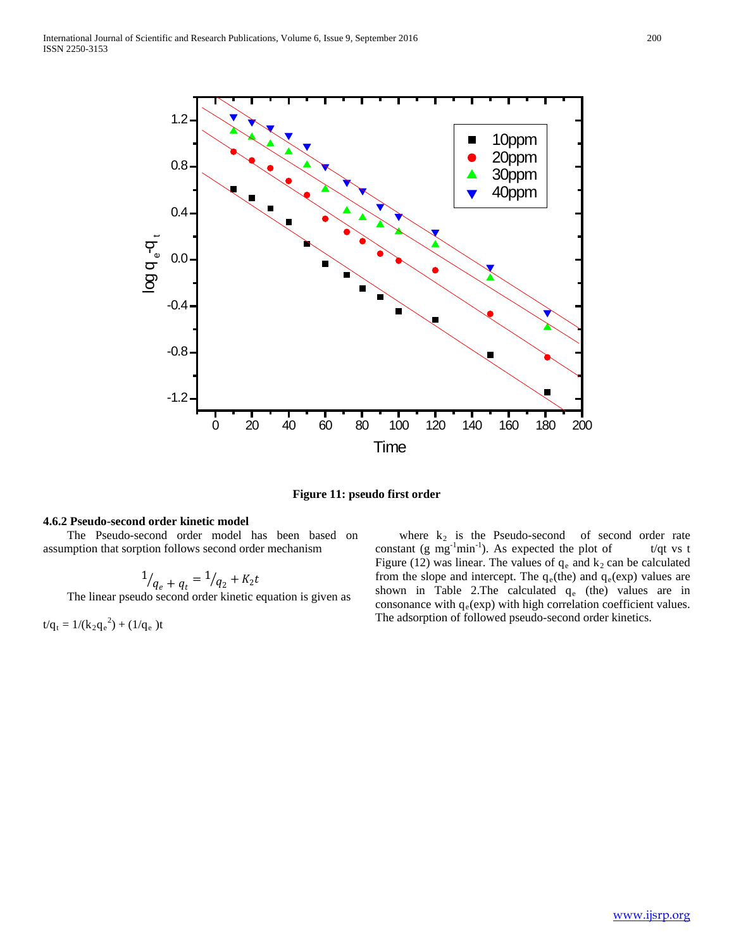

**Figure 11: pseudo first order**

## **4.6.2 Pseudo-second order kinetic model**

 The Pseudo-second order model has been based on assumption that sorption follows second order mechanism

$$
1_{q_e + q_t} = 1_{q_2 + K_2 t}
$$

The linear pseudo second order kinetic equation is given as

 $t/q_t = 1/(k_2q_e^2) + (1/q_e)t$ 

where  $k_2$  is the Pseudo-second of second order rate constant (g mg<sup>-1</sup>min<sup>-1</sup>). As expected the plot of t/qt vs t Figure (12) was linear. The values of  $q_e$  and  $k_2$  can be calculated from the slope and intercept. The  $q_e$ (the) and  $q_e$ (exp) values are shown in Table 2. The calculated  $q_e$  (the) values are in consonance with  $q_e(exp)$  with high correlation coefficient values. The adsorption of followed pseudo-second order kinetics.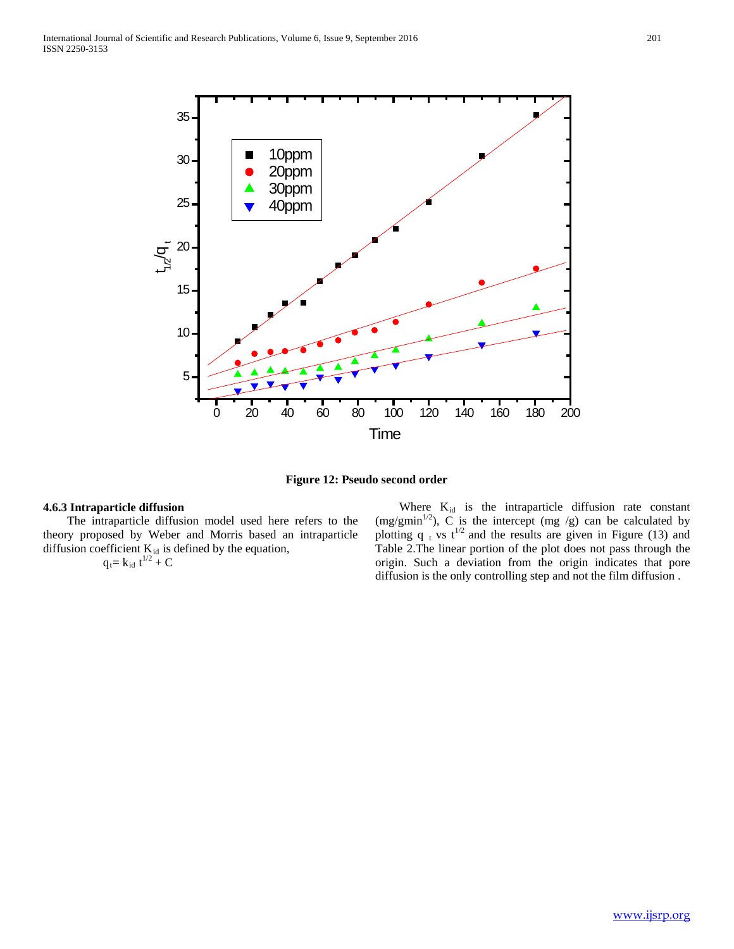

**Figure 12: Pseudo second order**

## **4.6.3 Intraparticle diffusion**

 The intraparticle diffusion model used here refers to the theory proposed by Weber and Morris based an intraparticle diffusion coefficient  $K_{id}$  is defined by the equation,

$$
q_t = k_{id} t^{1/2} + C
$$

Where  $K_{id}$  is the intraparticle diffusion rate constant (mg/gmin<sup>1/2</sup>), C is the intercept (mg /g) can be calculated by plotting q  $<sub>t</sub>$  vs t<sup>1/2</sup> and the results are given in Figure (13) and</sub> Table 2.The linear portion of the plot does not pass through the origin. Such a deviation from the origin indicates that pore diffusion is the only controlling step and not the film diffusion .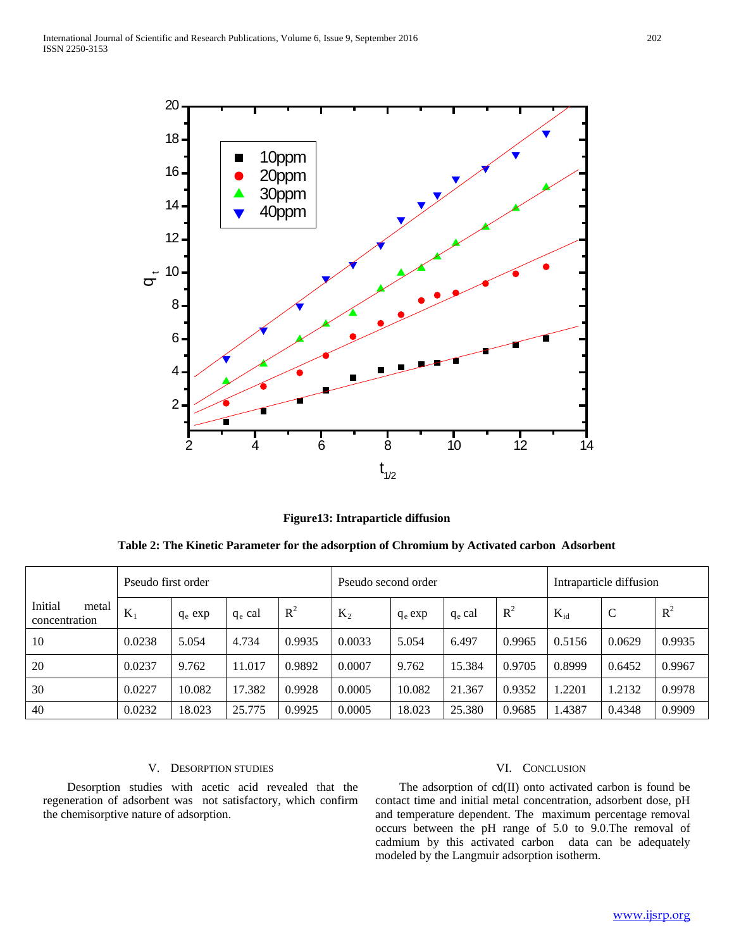

**Figure13: Intraparticle diffusion**

| Table 2: The Kinetic Parameter for the adsorption of Chromium by Activated carbon Adsorbent |  |  |
|---------------------------------------------------------------------------------------------|--|--|
|                                                                                             |  |  |

|                                   | Pseudo first order |           |           |        | Pseudo second order |           |           |        | Intraparticle diffusion |        |        |
|-----------------------------------|--------------------|-----------|-----------|--------|---------------------|-----------|-----------|--------|-------------------------|--------|--------|
| Initial<br>metal<br>concentration | $K_{\text{I}}$     | $q_e$ exp | $q_e$ cal | $R^2$  | $K_2$               | $q_e$ exp | $q_e$ cal | $R^2$  | $K_{id}$                | C      | $R^2$  |
| 10                                | 0.0238             | 5.054     | 4.734     | 0.9935 | 0.0033              | 5.054     | 6.497     | 0.9965 | 0.5156                  | 0.0629 | 0.9935 |
| 20                                | 0.0237             | 9.762     | 11.017    | 0.9892 | 0.0007              | 9.762     | 15.384    | 0.9705 | 0.8999                  | 0.6452 | 0.9967 |
| 30                                | 0.0227             | 10.082    | 17.382    | 0.9928 | 0.0005              | 10.082    | 21.367    | 0.9352 | 1.2201                  | 1.2132 | 0.9978 |
| 40                                | 0.0232             | 18.023    | 25.775    | 0.9925 | 0.0005              | 18.023    | 25.380    | 0.9685 | 1.4387                  | 0.4348 | 0.9909 |

## V. DESORPTION STUDIES

 Desorption studies with acetic acid revealed that the regeneration of adsorbent was not satisfactory, which confirm the chemisorptive nature of adsorption.

## VI. CONCLUSION

 The adsorption of cd(II) onto activated carbon is found be contact time and initial metal concentration, adsorbent dose, pH and temperature dependent. The maximum percentage removal occurs between the pH range of 5.0 to 9.0.The removal of cadmium by this activated carbon data can be adequately modeled by the Langmuir adsorption isotherm.